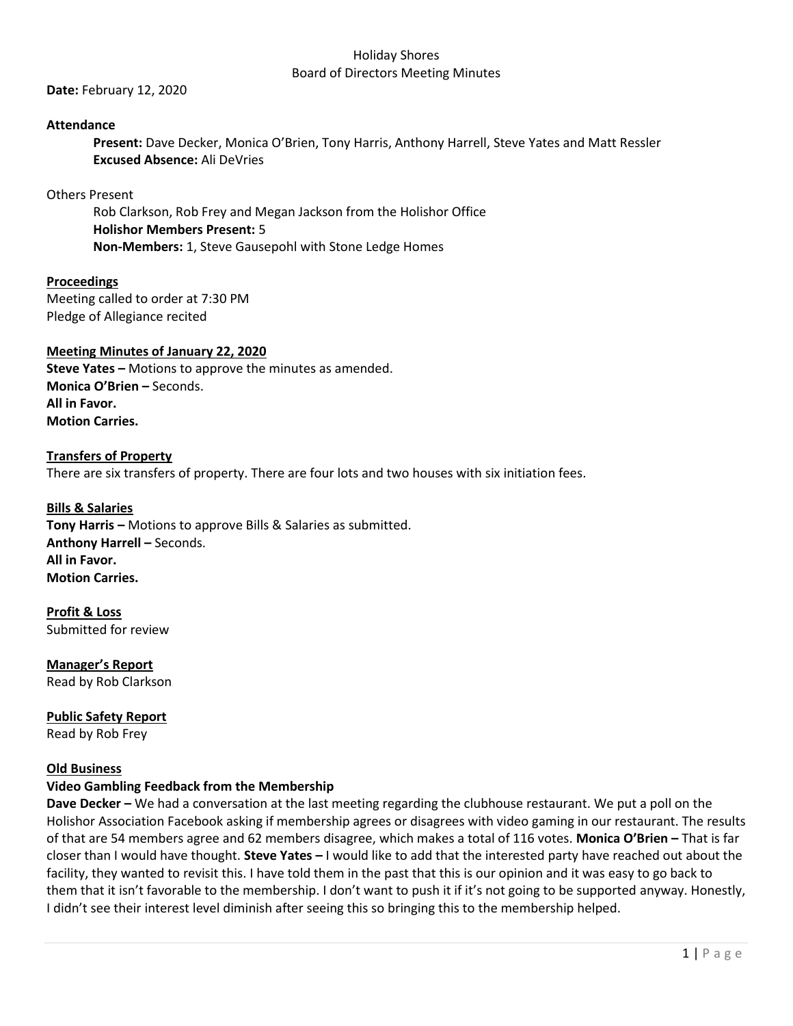**Date:** February 12, 2020

## **Attendance**

**Present:** Dave Decker, Monica O'Brien, Tony Harris, Anthony Harrell, Steve Yates and Matt Ressler **Excused Absence:** Ali DeVries

## Others Present

Rob Clarkson, Rob Frey and Megan Jackson from the Holishor Office **Holishor Members Present:** 5 **Non-Members:** 1, Steve Gausepohl with Stone Ledge Homes

**Proceedings** Meeting called to order at 7:30 PM Pledge of Allegiance recited

## **Meeting Minutes of January 22, 2020**

**Steve Yates –** Motions to approve the minutes as amended. **Monica O'Brien –** Seconds. **All in Favor. Motion Carries.** 

# **Transfers of Property** There are six transfers of property. There are four lots and two houses with six initiation fees.

**Bills & Salaries Tony Harris –** Motions to approve Bills & Salaries as submitted. **Anthony Harrell –** Seconds. **All in Favor. Motion Carries.**

**Profit & Loss** Submitted for review

**Manager's Report** Read by Rob Clarkson

**Public Safety Report** Read by Rob Frey

# **Old Business**

# **Video Gambling Feedback from the Membership**

**Dave Decker –** We had a conversation at the last meeting regarding the clubhouse restaurant. We put a poll on the Holishor Association Facebook asking if membership agrees or disagrees with video gaming in our restaurant. The results of that are 54 members agree and 62 members disagree, which makes a total of 116 votes. **Monica O'Brien –** That is far closer than I would have thought. **Steve Yates –** I would like to add that the interested party have reached out about the facility, they wanted to revisit this. I have told them in the past that this is our opinion and it was easy to go back to them that it isn't favorable to the membership. I don't want to push it if it's not going to be supported anyway. Honestly, I didn't see their interest level diminish after seeing this so bringing this to the membership helped.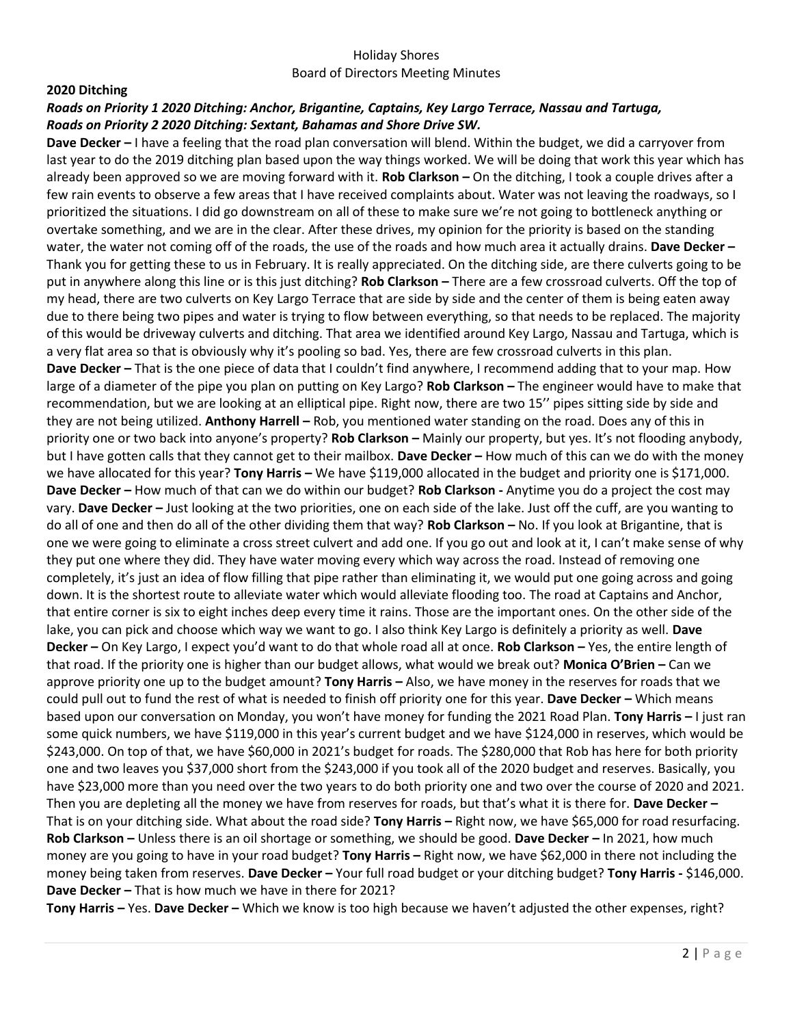#### **2020 Ditching**

## *Roads on Priority 1 2020 Ditching: Anchor, Brigantine, Captains, Key Largo Terrace, Nassau and Tartuga, Roads on Priority 2 2020 Ditching: Sextant, Bahamas and Shore Drive SW.*

**Dave Decker –** I have a feeling that the road plan conversation will blend. Within the budget, we did a carryover from last year to do the 2019 ditching plan based upon the way things worked. We will be doing that work this year which has already been approved so we are moving forward with it. **Rob Clarkson –** On the ditching, I took a couple drives after a few rain events to observe a few areas that I have received complaints about. Water was not leaving the roadways, so I prioritized the situations. I did go downstream on all of these to make sure we're not going to bottleneck anything or overtake something, and we are in the clear. After these drives, my opinion for the priority is based on the standing water, the water not coming off of the roads, the use of the roads and how much area it actually drains. **Dave Decker –** Thank you for getting these to us in February. It is really appreciated. On the ditching side, are there culverts going to be put in anywhere along this line or is this just ditching? **Rob Clarkson –** There are a few crossroad culverts. Off the top of my head, there are two culverts on Key Largo Terrace that are side by side and the center of them is being eaten away due to there being two pipes and water is trying to flow between everything, so that needs to be replaced. The majority of this would be driveway culverts and ditching. That area we identified around Key Largo, Nassau and Tartuga, which is a very flat area so that is obviously why it's pooling so bad. Yes, there are few crossroad culverts in this plan. **Dave Decker –** That is the one piece of data that I couldn't find anywhere, I recommend adding that to your map. How large of a diameter of the pipe you plan on putting on Key Largo? **Rob Clarkson –** The engineer would have to make that recommendation, but we are looking at an elliptical pipe. Right now, there are two 15'' pipes sitting side by side and they are not being utilized. **Anthony Harrell –** Rob, you mentioned water standing on the road. Does any of this in priority one or two back into anyone's property? **Rob Clarkson –** Mainly our property, but yes. It's not flooding anybody, but I have gotten calls that they cannot get to their mailbox. **Dave Decker –** How much of this can we do with the money we have allocated for this year? **Tony Harris –** We have \$119,000 allocated in the budget and priority one is \$171,000. **Dave Decker –** How much of that can we do within our budget? **Rob Clarkson -** Anytime you do a project the cost may vary. **Dave Decker –** Just looking at the two priorities, one on each side of the lake. Just off the cuff, are you wanting to do all of one and then do all of the other dividing them that way? **Rob Clarkson –** No. If you look at Brigantine, that is one we were going to eliminate a cross street culvert and add one. If you go out and look at it, I can't make sense of why they put one where they did. They have water moving every which way across the road. Instead of removing one completely, it's just an idea of flow filling that pipe rather than eliminating it, we would put one going across and going down. It is the shortest route to alleviate water which would alleviate flooding too. The road at Captains and Anchor, that entire corner is six to eight inches deep every time it rains. Those are the important ones. On the other side of the lake, you can pick and choose which way we want to go. I also think Key Largo is definitely a priority as well. **Dave Decker –** On Key Largo, I expect you'd want to do that whole road all at once. **Rob Clarkson –** Yes, the entire length of that road. If the priority one is higher than our budget allows, what would we break out? **Monica O'Brien –** Can we approve priority one up to the budget amount? **Tony Harris –** Also, we have money in the reserves for roads that we could pull out to fund the rest of what is needed to finish off priority one for this year. **Dave Decker –** Which means based upon our conversation on Monday, you won't have money for funding the 2021 Road Plan. **Tony Harris –** I just ran some quick numbers, we have \$119,000 in this year's current budget and we have \$124,000 in reserves, which would be \$243,000. On top of that, we have \$60,000 in 2021's budget for roads. The \$280,000 that Rob has here for both priority one and two leaves you \$37,000 short from the \$243,000 if you took all of the 2020 budget and reserves. Basically, you have \$23,000 more than you need over the two years to do both priority one and two over the course of 2020 and 2021. Then you are depleting all the money we have from reserves for roads, but that's what it is there for. **Dave Decker –** That is on your ditching side. What about the road side? **Tony Harris –** Right now, we have \$65,000 for road resurfacing. **Rob Clarkson –** Unless there is an oil shortage or something, we should be good. **Dave Decker –** In 2021, how much money are you going to have in your road budget? **Tony Harris –** Right now, we have \$62,000 in there not including the money being taken from reserves. **Dave Decker –** Your full road budget or your ditching budget? **Tony Harris -** \$146,000. **Dave Decker –** That is how much we have in there for 2021?

**Tony Harris –** Yes. **Dave Decker –** Which we know is too high because we haven't adjusted the other expenses, right?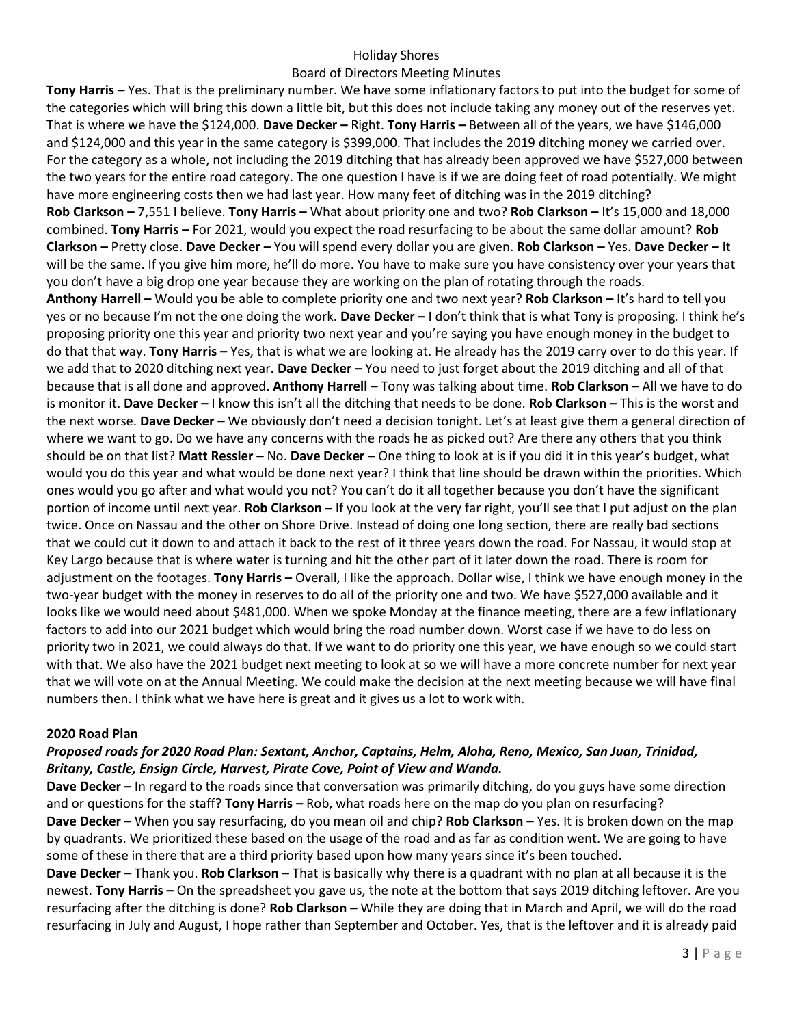## Holiday Shores

### Board of Directors Meeting Minutes

**Tony Harris –** Yes. That is the preliminary number. We have some inflationary factors to put into the budget for some of the categories which will bring this down a little bit, but this does not include taking any money out of the reserves yet. That is where we have the \$124,000. **Dave Decker –** Right. **Tony Harris –** Between all of the years, we have \$146,000 and \$124,000 and this year in the same category is \$399,000. That includes the 2019 ditching money we carried over. For the category as a whole, not including the 2019 ditching that has already been approved we have \$527,000 between the two years for the entire road category. The one question I have is if we are doing feet of road potentially. We might have more engineering costs then we had last year. How many feet of ditching was in the 2019 ditching? **Rob Clarkson –** 7,551 I believe. **Tony Harris –** What about priority one and two? **Rob Clarkson –** It's 15,000 and 18,000 combined. **Tony Harris –** For 2021, would you expect the road resurfacing to be about the same dollar amount? **Rob Clarkson –** Pretty close. **Dave Decker –** You will spend every dollar you are given. **Rob Clarkson –** Yes. **Dave Decker –** It will be the same. If you give him more, he'll do more. You have to make sure you have consistency over your years that you don't have a big drop one year because they are working on the plan of rotating through the roads. **Anthony Harrell –** Would you be able to complete priority one and two next year? **Rob Clarkson –** It's hard to tell you yes or no because I'm not the one doing the work. **Dave Decker –** I don't think that is what Tony is proposing. I think he's proposing priority one this year and priority two next year and you're saying you have enough money in the budget to do that that way. **Tony Harris –** Yes, that is what we are looking at. He already has the 2019 carry over to do this year. If we add that to 2020 ditching next year. **Dave Decker –** You need to just forget about the 2019 ditching and all of that because that is all done and approved. **Anthony Harrell –** Tony was talking about time. **Rob Clarkson –** All we have to do is monitor it. **Dave Decker –** I know this isn't all the ditching that needs to be done. **Rob Clarkson –** This is the worst and the next worse. **Dave Decker –** We obviously don't need a decision tonight. Let's at least give them a general direction of where we want to go. Do we have any concerns with the roads he as picked out? Are there any others that you think should be on that list? **Matt Ressler –** No. **Dave Decker –** One thing to look at is if you did it in this year's budget, what would you do this year and what would be done next year? I think that line should be drawn within the priorities. Which ones would you go after and what would you not? You can't do it all together because you don't have the significant portion of income until next year. **Rob Clarkson –** If you look at the very far right, you'll see that I put adjust on the plan twice. Once on Nassau and the othe**r** on Shore Drive. Instead of doing one long section, there are really bad sections that we could cut it down to and attach it back to the rest of it three years down the road. For Nassau, it would stop at Key Largo because that is where water is turning and hit the other part of it later down the road. There is room for adjustment on the footages. **Tony Harris –** Overall, I like the approach. Dollar wise, I think we have enough money in the two-year budget with the money in reserves to do all of the priority one and two. We have \$527,000 available and it looks like we would need about \$481,000. When we spoke Monday at the finance meeting, there are a few inflationary factors to add into our 2021 budget which would bring the road number down. Worst case if we have to do less on priority two in 2021, we could always do that. If we want to do priority one this year, we have enough so we could start with that. We also have the 2021 budget next meeting to look at so we will have a more concrete number for next year that we will vote on at the Annual Meeting. We could make the decision at the next meeting because we will have final numbers then. I think what we have here is great and it gives us a lot to work with.

### **2020 Road Plan**

# *Proposed roads for 2020 Road Plan: Sextant, Anchor, Captains, Helm, Aloha, Reno, Mexico, San Juan, Trinidad, Britany, Castle, Ensign Circle, Harvest, Pirate Cove, Point of View and Wanda.*

**Dave Decker –** In regard to the roads since that conversation was primarily ditching, do you guys have some direction and or questions for the staff? **Tony Harris –** Rob, what roads here on the map do you plan on resurfacing? **Dave Decker –** When you say resurfacing, do you mean oil and chip? **Rob Clarkson –** Yes. It is broken down on the map by quadrants. We prioritized these based on the usage of the road and as far as condition went. We are going to have some of these in there that are a third priority based upon how many years since it's been touched.

**Dave Decker –** Thank you. **Rob Clarkson –** That is basically why there is a quadrant with no plan at all because it is the newest. **Tony Harris –** On the spreadsheet you gave us, the note at the bottom that says 2019 ditching leftover. Are you resurfacing after the ditching is done? **Rob Clarkson –** While they are doing that in March and April, we will do the road resurfacing in July and August, I hope rather than September and October. Yes, that is the leftover and it is already paid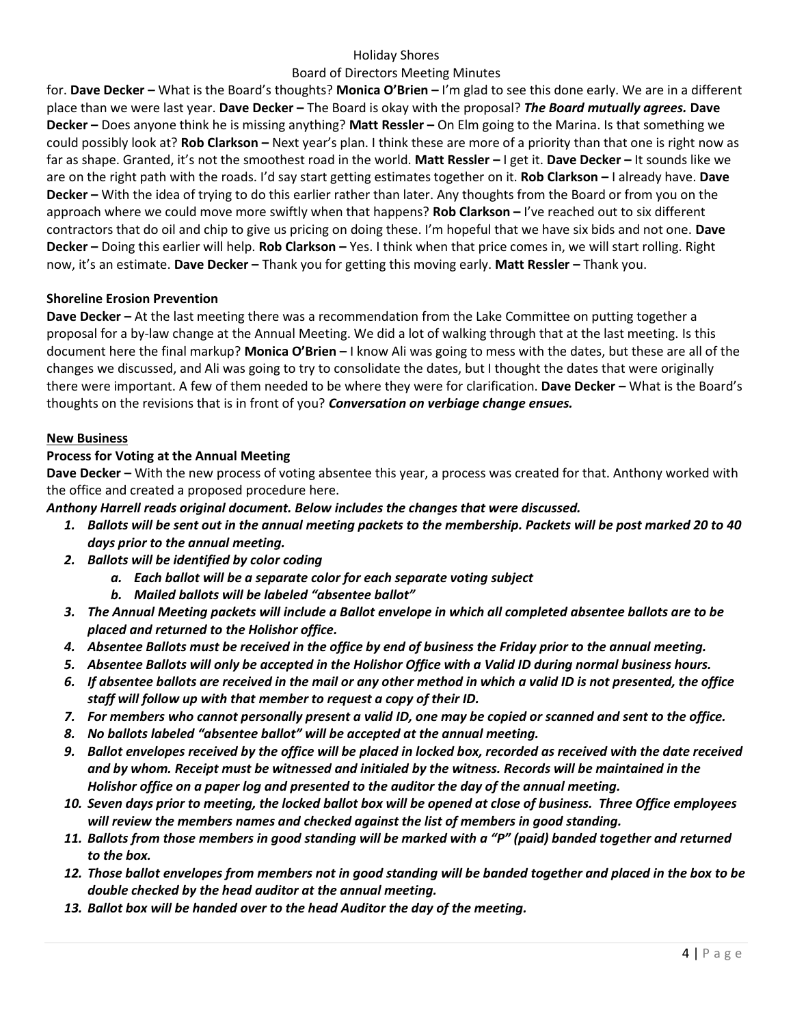## Holiday Shores

## Board of Directors Meeting Minutes

for. **Dave Decker –** What is the Board's thoughts? **Monica O'Brien –** I'm glad to see this done early. We are in a different place than we were last year. **Dave Decker –** The Board is okay with the proposal? *The Board mutually agrees.* **Dave Decker –** Does anyone think he is missing anything? **Matt Ressler –** On Elm going to the Marina. Is that something we could possibly look at? **Rob Clarkson –** Next year's plan. I think these are more of a priority than that one is right now as far as shape. Granted, it's not the smoothest road in the world. **Matt Ressler –** I get it. **Dave Decker –** It sounds like we are on the right path with the roads. I'd say start getting estimates together on it. **Rob Clarkson –** I already have. **Dave Decker –** With the idea of trying to do this earlier rather than later. Any thoughts from the Board or from you on the approach where we could move more swiftly when that happens? **Rob Clarkson –** I've reached out to six different contractors that do oil and chip to give us pricing on doing these. I'm hopeful that we have six bids and not one. **Dave Decker –** Doing this earlier will help. **Rob Clarkson –** Yes. I think when that price comes in, we will start rolling. Right now, it's an estimate. **Dave Decker –** Thank you for getting this moving early. **Matt Ressler –** Thank you.

### **Shoreline Erosion Prevention**

**Dave Decker –** At the last meeting there was a recommendation from the Lake Committee on putting together a proposal for a by-law change at the Annual Meeting. We did a lot of walking through that at the last meeting. Is this document here the final markup? **Monica O'Brien –** I know Ali was going to mess with the dates, but these are all of the changes we discussed, and Ali was going to try to consolidate the dates, but I thought the dates that were originally there were important. A few of them needed to be where they were for clarification. **Dave Decker –** What is the Board's thoughts on the revisions that is in front of you? *Conversation on verbiage change ensues.* 

### **New Business**

## **Process for Voting at the Annual Meeting**

**Dave Decker –** With the new process of voting absentee this year, a process was created for that. Anthony worked with the office and created a proposed procedure here.

*Anthony Harrell reads original document. Below includes the changes that were discussed.*

- *1. Ballots will be sent out in the annual meeting packets to the membership. Packets will be post marked 20 to 40 days prior to the annual meeting.*
- *2. Ballots will be identified by color coding* 
	- *a. Each ballot will be a separate color for each separate voting subject*
	- *b. Mailed ballots will be labeled "absentee ballot"*
- *3. The Annual Meeting packets will include a Ballot envelope in which all completed absentee ballots are to be placed and returned to the Holishor office.*
- *4. Absentee Ballots must be received in the office by end of business the Friday prior to the annual meeting.*
- *5. Absentee Ballots will only be accepted in the Holishor Office with a Valid ID during normal business hours.*
- *6. If absentee ballots are received in the mail or any other method in which a valid ID is not presented, the office staff will follow up with that member to request a copy of their ID.*
- *7. For members who cannot personally present a valid ID, one may be copied or scanned and sent to the office.*
- *8. No ballots labeled "absentee ballot" will be accepted at the annual meeting.*
- *9. Ballot envelopes received by the office will be placed in locked box, recorded as received with the date received and by whom. Receipt must be witnessed and initialed by the witness. Records will be maintained in the Holishor office on a paper log and presented to the auditor the day of the annual meeting.*
- *10. Seven days prior to meeting, the locked ballot box will be opened at close of business. Three Office employees will review the members names and checked against the list of members in good standing.*
- *11. Ballots from those members in good standing will be marked with a "P" (paid) banded together and returned to the box.*
- *12. Those ballot envelopes from members not in good standing will be banded together and placed in the box to be double checked by the head auditor at the annual meeting.*
- *13. Ballot box will be handed over to the head Auditor the day of the meeting.*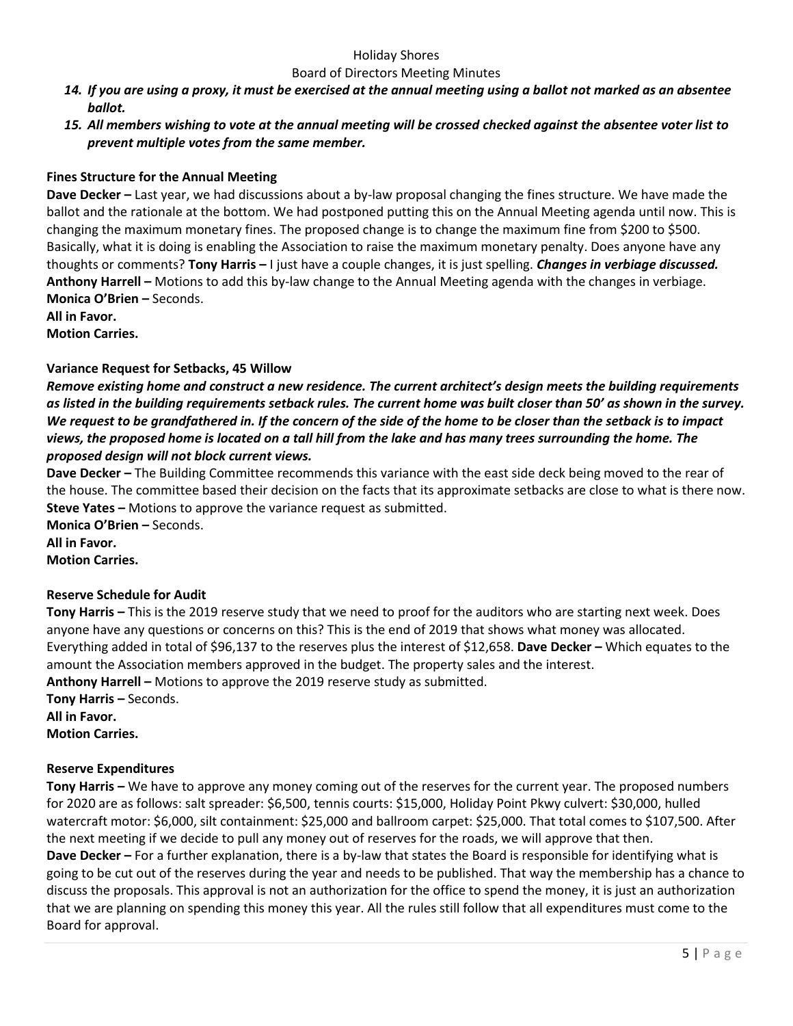### Holiday Shores

#### Board of Directors Meeting Minutes

- *14. If you are using a proxy, it must be exercised at the annual meeting using a ballot not marked as an absentee ballot.*
- *15. All members wishing to vote at the annual meeting will be crossed checked against the absentee voter list to prevent multiple votes from the same member.*

## **Fines Structure for the Annual Meeting**

**Dave Decker –** Last year, we had discussions about a by-law proposal changing the fines structure. We have made the ballot and the rationale at the bottom. We had postponed putting this on the Annual Meeting agenda until now. This is changing the maximum monetary fines. The proposed change is to change the maximum fine from \$200 to \$500. Basically, what it is doing is enabling the Association to raise the maximum monetary penalty. Does anyone have any thoughts or comments? **Tony Harris –** I just have a couple changes, it is just spelling. *Changes in verbiage discussed.* **Anthony Harrell –** Motions to add this by-law change to the Annual Meeting agenda with the changes in verbiage. **Monica O'Brien –** Seconds.

**All in Favor.**

**Motion Carries.**

### **Variance Request for Setbacks, 45 Willow**

*Remove existing home and construct a new residence. The current architect's design meets the building requirements as listed in the building requirements setback rules. The current home was built closer than 50' as shown in the survey. We request to be grandfathered in. If the concern of the side of the home to be closer than the setback is to impact views, the proposed home is located on a tall hill from the lake and has many trees surrounding the home. The proposed design will not block current views.* 

**Dave Decker –** The Building Committee recommends this variance with the east side deck being moved to the rear of the house. The committee based their decision on the facts that its approximate setbacks are close to what is there now. **Steve Yates –** Motions to approve the variance request as submitted.

**Monica O'Brien –** Seconds. **All in Favor.**

**Motion Carries.**

### **Reserve Schedule for Audit**

**Tony Harris –** This is the 2019 reserve study that we need to proof for the auditors who are starting next week. Does anyone have any questions or concerns on this? This is the end of 2019 that shows what money was allocated. Everything added in total of \$96,137 to the reserves plus the interest of \$12,658. **Dave Decker –** Which equates to the amount the Association members approved in the budget. The property sales and the interest. **Anthony Harrell –** Motions to approve the 2019 reserve study as submitted.

**Tony Harris – Seconds. All in Favor.**

**Motion Carries.**

### **Reserve Expenditures**

**Tony Harris –** We have to approve any money coming out of the reserves for the current year. The proposed numbers for 2020 are as follows: salt spreader: \$6,500, tennis courts: \$15,000, Holiday Point Pkwy culvert: \$30,000, hulled watercraft motor: \$6,000, silt containment: \$25,000 and ballroom carpet: \$25,000. That total comes to \$107,500. After the next meeting if we decide to pull any money out of reserves for the roads, we will approve that then. **Dave Decker –** For a further explanation, there is a by-law that states the Board is responsible for identifying what is going to be cut out of the reserves during the year and needs to be published. That way the membership has a chance to discuss the proposals. This approval is not an authorization for the office to spend the money, it is just an authorization that we are planning on spending this money this year. All the rules still follow that all expenditures must come to the Board for approval.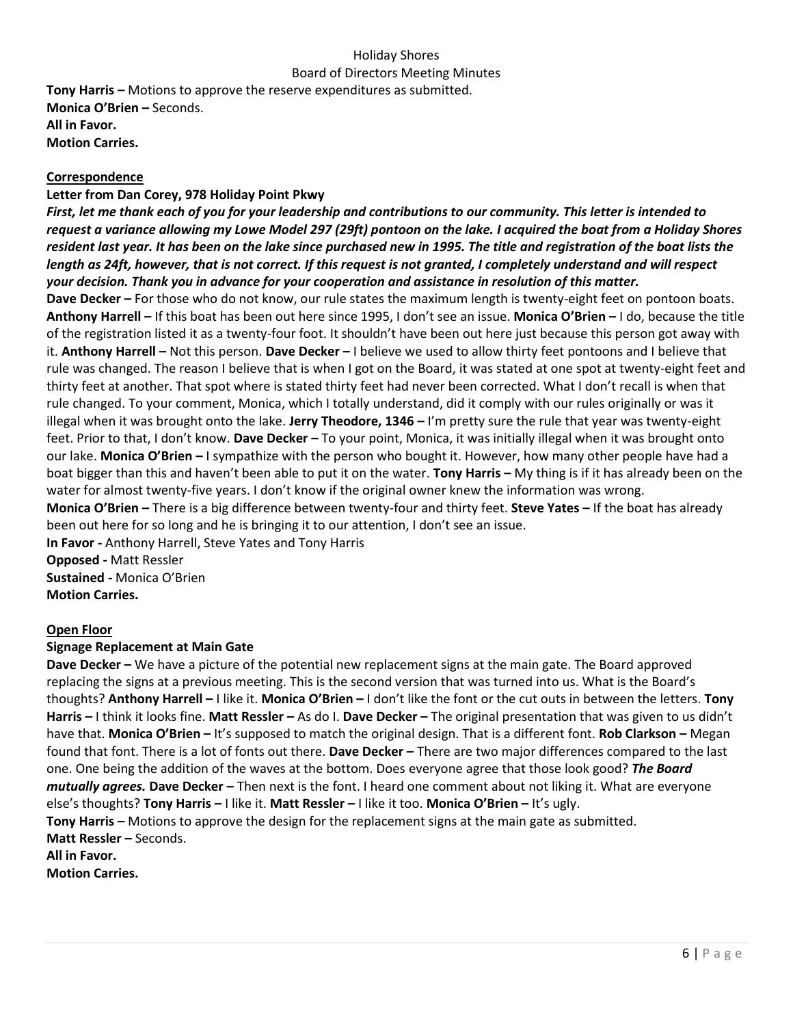**Tony Harris –** Motions to approve the reserve expenditures as submitted. **Monica O'Brien –** Seconds. **All in Favor. Motion Carries.**

## **Correspondence**

## **Letter from Dan Corey, 978 Holiday Point Pkwy**

*First, let me thank each of you for your leadership and contributions to our community. This letter is intended to request a variance allowing my Lowe Model 297 (29ft) pontoon on the lake. I acquired the boat from a Holiday Shores resident last year. It has been on the lake since purchased new in 1995. The title and registration of the boat lists the length as 24ft, however, that is not correct. If this request is not granted, I completely understand and will respect your decision. Thank you in advance for your cooperation and assistance in resolution of this matter.* 

**Dave Decker –** For those who do not know, our rule states the maximum length is twenty-eight feet on pontoon boats. **Anthony Harrell –** If this boat has been out here since 1995, I don't see an issue. **Monica O'Brien –** I do, because the title of the registration listed it as a twenty-four foot. It shouldn't have been out here just because this person got away with it. **Anthony Harrell –** Not this person. **Dave Decker –** I believe we used to allow thirty feet pontoons and I believe that rule was changed. The reason I believe that is when I got on the Board, it was stated at one spot at twenty-eight feet and thirty feet at another. That spot where is stated thirty feet had never been corrected. What I don't recall is when that rule changed. To your comment, Monica, which I totally understand, did it comply with our rules originally or was it illegal when it was brought onto the lake. **Jerry Theodore, 1346 –** I'm pretty sure the rule that year was twenty-eight feet. Prior to that, I don't know. **Dave Decker –** To your point, Monica, it was initially illegal when it was brought onto our lake. **Monica O'Brien –** I sympathize with the person who bought it. However, how many other people have had a boat bigger than this and haven't been able to put it on the water. **Tony Harris –** My thing is if it has already been on the water for almost twenty-five years. I don't know if the original owner knew the information was wrong. **Monica O'Brien –** There is a big difference between twenty-four and thirty feet. **Steve Yates –** If the boat has already been out here for so long and he is bringing it to our attention, I don't see an issue. **In Favor -** Anthony Harrell, Steve Yates and Tony Harris

**Opposed -** Matt Ressler **Sustained -** Monica O'Brien **Motion Carries.**

# **Open Floor**

# **Signage Replacement at Main Gate**

**Dave Decker –** We have a picture of the potential new replacement signs at the main gate. The Board approved replacing the signs at a previous meeting. This is the second version that was turned into us. What is the Board's thoughts? **Anthony Harrell –** I like it. **Monica O'Brien –** I don't like the font or the cut outs in between the letters. **Tony Harris –** I think it looks fine. **Matt Ressler –** As do I. **Dave Decker –** The original presentation that was given to us didn't have that. **Monica O'Brien –** It's supposed to match the original design. That is a different font. **Rob Clarkson –** Megan found that font. There is a lot of fonts out there. **Dave Decker –** There are two major differences compared to the last one. One being the addition of the waves at the bottom. Does everyone agree that those look good? *The Board mutually agrees.* **Dave Decker –** Then next is the font. I heard one comment about not liking it. What are everyone else's thoughts? **Tony Harris –** I like it. **Matt Ressler –** I like it too. **Monica O'Brien –** It's ugly. **Tony Harris –** Motions to approve the design for the replacement signs at the main gate as submitted. **Matt Ressler –** Seconds. **All in Favor. Motion Carries.**